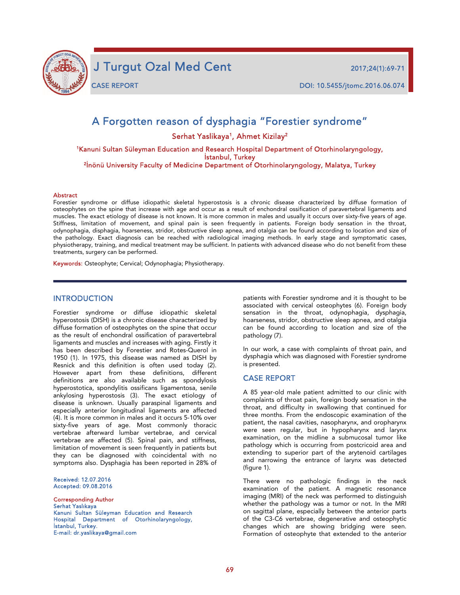

j

J Turgut Ozal Med Cent 2017;24(1):69-71

# A Forgotten reason of dysphagia "Forestier syndrome"

Serhat Yaslikaya<sup>1</sup>, Ahmet Kizilay<sup>2</sup>

1Kanuni Sultan Süleyman Education and Research Hospital Department of Otorhinolaryngology, İstanbul, Turkey<br>İnönü University Faculty of Medicine Department of Otorhinolaryngology, Malatya, Turkey

#### Abstract

Forestier syndrome or diffuse idiopathic skeletal hyperostosis is a chronic disease characterized by diffuse formation of osteophytes on the spine that increase with age and occur as a result of enchondral ossification of paravertebral ligaments and muscles. The exact etiology of disease is not known. It is more common in males and usually it occurs over sixty-five years of age. Stiffness, limitation of movement, and spinal pain is seen frequently in patients. Foreign body sensation in the throat, odynophagia, disphagia, hoarseness, stridor, obstructive sleep apnea, and otalgia can be found according to location and size of the pathology. Exact diagnosis can be reached with radiological imaging methods. In early stage and symptomatic cases, physiotherapy, training, and medical treatment may be sufficient. In patients with advanced disease who do not benefit from these treatments, surgery can be performed.

Keywords: Osteophyte; Cervical; Odynophagia; Physiotherapy.

### INTRODUCTION

Forestier syndrome or diffuse idiopathic skeletal hyperostosis (DISH) is a chronic disease characterized by diffuse formation of osteophytes on the spine that occur as the result of enchondral ossification of paravertebral ligaments and muscles and increases with aging. Firstly it has been described by Forestier and Rotes-Querol in 1950 (1). In 1975, this disease was named as DISH by Resnick and this definition is often used today (2). However apart from these definitions, different definitions are also available such as spondylosis hyperostotica, spondylitis ossificans ligamentosa, senile ankylosing hyperostosis (3). The exact etiology of disease is unknown. Usually paraspinal ligaments and especially anterior longitudinal ligaments are affected (4). It is more common in males and it occurs 5-10% over sixty-five years of age. Most commonly thoracic vertebrae afterward lumbar vertebrae, and cervical vertebrae are affected (5). Spinal pain, and stiffness, limitation of movement is seen frequently in patients but they can be diagnosed with coincidental with no symptoms also. Dysphagia has been reported in 28% of

Received: 12.07.2016 Accepted: 09.08.2016

Corresponding Author Serhat Yaslıkaya Kanuni Sultan Süleyman Education and Research Hospital Department of Otorhinolaryngology, İstanbul, Turkey. E-mail: dr.yaslikaya@gmail.com

patients with Forestier syndrome and it is thought to be associated with cervical osteophytes (6). Foreign body sensation in the throat, odynophagia, dysphagia, hoarseness, stridor, obstructive sleep apnea, and otalgia can be found according to location and size of the pathology (7).

In our work, a case with complaints of throat pain, and dysphagia which was diagnosed with Forestier syndrome is presented.

#### CASE REPORT

A 85 year-old male patient admitted to our clinic with complaints of throat pain, foreign body sensation in the throat, and difficulty in swallowing that continued for three months. From the endoscopic examination of the patient, the nasal cavities, nasopharynx, and oropharynx were seen regular, but in hypopharynx and larynx examination, on the midline a submucosal tumor like pathology which is occurring from postcricoid area and extending to superior part of the arytenoid cartilages and narrowing the entrance of larynx was detected (figure 1).

There were no pathologic findings in the neck examination of the patient. A magnetic resonance imaging (MRI) of the neck was performed to distinguish whether the pathology was a tumor or not. In the MRI on sagittal plane, especially between the anterior parts of the C3-C6 vertebrae, degenerative and osteophytic changes which are showing bridging were seen. Formation of osteophyte that extended to the anterior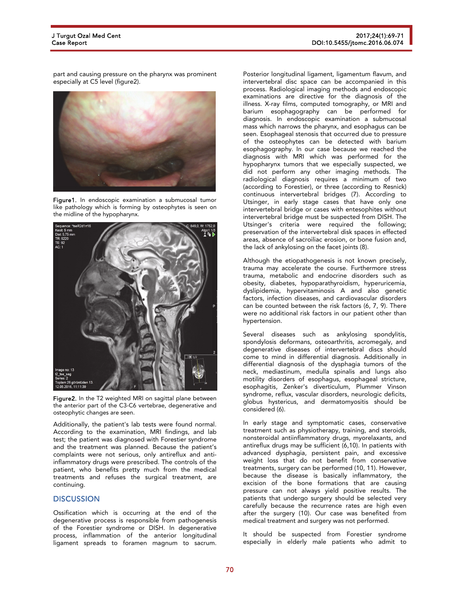part and causing pressure on the pharynx was prominent especially at C5 level (figure2).



Figure1. In endoscopic examination a submucosal tumor like pathology which is forming by osteophytes is seen on the midline of the hypopharynx.





Additionally, the patient's lab tests were found normal. According to the examination, MRI findings, and lab test; the patient was diagnosed with Forestier syndrome and the treatment was planned. Because the patient's complaints were not serious, only antireflux and antiinflammatory drugs were prescribed. The controls of the patient, who benefits pretty much from the medical treatments and refuses the surgical treatment, are continuing.

# **DISCUSSION**

Ossification which is occurring at the end of the degenerative process is responsible from pathogenesis of the Forestier syndrome or DISH. In degenerative process, inflammation of the anterior longitudinal ligament spreads to foramen magnum to sacrum.

Posterior longitudinal ligament, ligamentum flavum, and intervertebral disc space can be accompanied in this process. Radiological imaging methods and endoscopic examinations are directive for the diagnosis of the illness. X-ray films, computed tomography, or MRI and barium esophagography can be performed for diagnosis. In endoscopic examination a submucosal mass which narrows the pharynx, and esophagus can be seen. Esophageal stenosis that occurred due to pressure of the osteophytes can be detected with barium esophagography. In our case because we reached the diagnosis with MRI which was performed for the hypopharynx tumors that we especially suspected, we did not perform any other imaging methods. The radiological diagnosis requires a minimum of two (according to Forestier), or three (according to Resnick) continuous intervertebral bridges (7). According to Utsinger, in early stage cases that have only one intervertebral bridge or cases with entesophites without intervertebral bridge must be suspected from DISH. The Utsinger's criteria were required the following; preservation of the intervertebral disk spaces in effected areas, absence of sacroiliac erosion, or bone fusion and, the lack of ankylosing on the facet joints (8).

Although the etiopathogenesis is not known precisely, trauma may accelerate the course. Furthermore stress trauma, metabolic and endocrine disorders such as obesity, diabetes, hypoparathyroidism, hyperuricemia, dyslipidemia, hypervitaminosis A and also genetic factors, infection diseases, and cardiovascular disorders can be counted between the risk factors (6, 7, 9). There were no additional risk factors in our patient other than hypertension.

Several diseases such as ankylosing spondylitis, spondylosis deformans, osteoarthritis, acromegaly, and degenerative diseases of intervertebral discs should come to mind in differential diagnosis. Additionally in differential diagnosis of the dysphagia tumors of the neck, mediastinum, medulla spinalis and lungs also motility disorders of esophagus, esophageal stricture, esophagitis, Zenker's diverticulum, Plummer Vinson syndrome, reflux, vascular disorders, neurologic deficits, globus hystericus, and dermatomyositis should be considered (6).

In early stage and symptomatic cases, conservative treatment such as physiotherapy, training, and steroids, nonsteroidal antiinflammatory drugs, myorelaxants, and antireflux drugs may be sufficient (6,10). In patients with advanced dysphagia, persistent pain, and excessive weight loss that do not benefit from conservative treatments, surgery can be performed (10, 11). However, because the disease is basically inflammatory, the excision of the bone formations that are causing pressure can not always yield positive results. The patients that undergo surgery should be selected very carefully because the recurrence rates are high even after the surgery (10). Our case was benefited from medical treatment and surgery was not performed.

It should be suspected from Forestier syndrome especially in elderly male patients who admit to